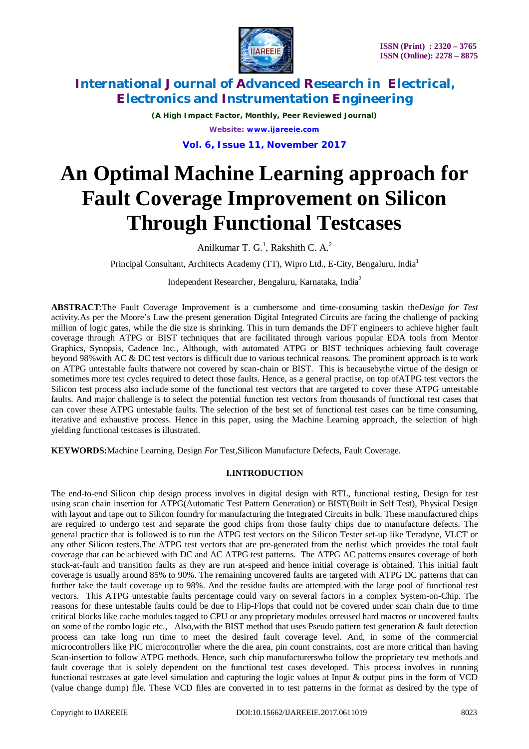

*(A High Impact Factor, Monthly, Peer Reviewed Journal) Website: [www.ijareeie.com](http://www.ijareeie.com)*

**Vol. 6, Issue 11, November 2017**

# **An Optimal Machine Learning approach for Fault Coverage Improvement on Silicon Through Functional Testcases**

Anilkumar T. G.<sup>1</sup>, Rakshith C. A.<sup>2</sup>

Principal Consultant, Architects Academy (TT), Wipro Ltd., E-City, Bengaluru, India<sup>1</sup>

Independent Researcher, Bengaluru, Karnataka, India<sup>2</sup>

**ABSTRACT**:The Fault Coverage Improvement is a cumbersome and time-consuming taskin the*Design for Test* activity.As per the Moore's Law the present generation Digital Integrated Circuits are facing the challenge of packing million of logic gates, while the die size is shrinking. This in turn demands the DFT engineers to achieve higher fault coverage through ATPG or BIST techniques that are facilitated through various popular EDA tools from Mentor Graphics, Synopsis, Cadence Inc., Although, with automated ATPG or BIST techniques achieving fault coverage beyond 98%with AC & DC test vectors is difficult due to various technical reasons. The prominent approach is to work on ATPG untestable faults thatwere not covered by scan-chain or BIST. This is becausebythe virtue of the design or sometimes more test cycles required to detect those faults. Hence, as a general practise, on top ofATPG test vectors the Silicon test process also include some of the functional test vectors that are targeted to cover these ATPG untestable faults. And major challenge is to select the potential function test vectors from thousands of functional test cases that can cover these ATPG untestable faults. The selection of the best set of functional test cases can be time consuming, iterative and exhaustive process. Hence in this paper, using the Machine Learning approach, the selection of high yielding functional testcases is illustrated.

**KEYWORDS:**Machine Learning, Design *For* Test,Silicon Manufacture Defects, Fault Coverage.

### **I.INTRODUCTION**

The end-to-end Silicon chip design process involves in digital design with RTL, functional testing, Design for test using scan chain insertion for ATPG(Automatic Test Pattern Generation) or BIST(Built in Self Test), Physical Design with layout and tape out to Silicon foundry for manufacturing the Integrated Circuits in bulk. These manufactured chips are required to undergo test and separate the good chips from those faulty chips due to manufacture defects. The general practice that is followed is to run the ATPG test vectors on the Silicon Tester set-up like Teradyne, VLCT or any other Silicon testers.The ATPG test vectors that are pre-generated from the netlist which provides the total fault coverage that can be achieved with DC and AC ATPG test patterns. The ATPG AC patterns ensures coverage of both stuck-at-fault and transition faults as they are run at-speed and hence initial coverage is obtained. This initial fault coverage is usually around 85% to 90%. The remaining uncovered faults are targeted with ATPG DC patterns that can further take the fault coverage up to 98%. And the residue faults are attempted with the large pool of functional test vectors. This ATPG untestable faults percentage could vary on several factors in a complex System-on-Chip. The reasons for these untestable faults could be due to Flip-Flops that could not be covered under scan chain due to time critical blocks like cache modules tagged to CPU or any proprietary modules orreused hard macros or uncovered faults on some of the combo logic etc., Also, with the BIST method that uses Pseudo pattern test generation  $\&$  fault detection process can take long run time to meet the desired fault coverage level. And, in some of the commercial microcontrollers like PIC microcontroller where the die area, pin count constraints, cost are more critical than having Scan-insertion to follow ATPG methods. Hence, such chip manufacturerswho follow the proprietary test methods and fault coverage that is solely dependent on the functional test cases developed. This process involves in running functional testcases at gate level simulation and capturing the logic values at Input & output pins in the form of VCD (value change dump) file. These VCD files are converted in to test patterns in the format as desired by the type of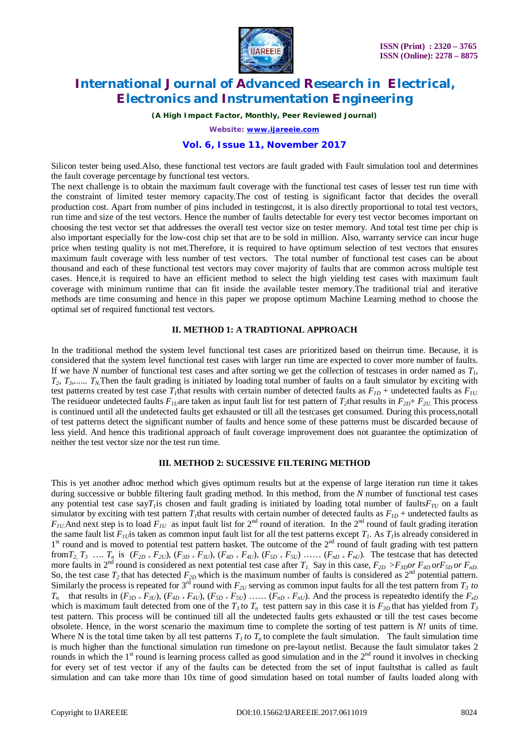

*(A High Impact Factor, Monthly, Peer Reviewed Journal)*

*Website: [www.ijareeie.com](http://www.ijareeie.com)*

#### **Vol. 6, Issue 11, November 2017**

Silicon tester being used.Also, these functional test vectors are fault graded with Fault simulation tool and determines the fault coverage percentage by functional test vectors.

The next challenge is to obtain the maximum fault coverage with the functional test cases of lesser test run time with the constraint of limited tester memory capacity.The cost of testing is significant factor that decides the overall production cost. Apart from number of pins included in testingcost, it is also directly proportional to total test vectors, run time and size of the test vectors. Hence the number of faults detectable for every test vector becomes important on choosing the test vector set that addresses the overall test vector size on tester memory. And total test time per chip is also important especially for the low-cost chip set that are to be sold in million. Also, warranty service can incur huge price when testing quality is not met.Therefore, it is required to have optimum selection of test vectors that ensures maximum fault coverage with less number of test vectors. The total number of functional test cases can be about thousand and each of these functional test vectors may cover majority of faults that are common across multiple test cases. Hence,it is required to have an efficient method to select the high yielding test cases with maximum fault coverage with minimum runtime that can fit inside the available tester memory.The traditional trial and iterative methods are time consuming and hence in this paper we propose optimum Machine Learning method to choose the optimal set of required functional test vectors.

#### **II. METHOD 1: A TRADTIONAL APPROACH**

In the traditional method the system level functional test cases are prioritized based on theirrun time. Because, it is considered that the system level functional test cases with larger run time are expected to cover more number of faults. If we have *N* number of functional test cases and after sorting we get the collection of testcases in order named as *T1,*  $T_2, T_3, \ldots, T_N$ . Then the fault grading is initiated by loading total number of faults on a fault simulator by exciting with test patterns created by test case  $T_I$ that results with certain number of detected faults as  $F_{ID}$  + undetected faults as  $F_{IU}$ . The residueor undetected faults  $F_{I}$  are taken as input fault list for test pattern of  $T_2$ that results in  $F_{2D}$ +  $F_{2U}$ . This process is continued until all the undetected faults get exhausted or till all the testcases get consumed. During this process,notall of test patterns detect the significant number of faults and hence some of these patterns must be discarded because of less yield. And hence this traditional approach of fault coverage improvement does not guarantee the optimization of neither the test vector size nor the test run time.

#### **III. METHOD 2: SUCESSIVE FILTERING METHOD**

This is yet another adhoc method which gives optimum results but at the expense of large iteration run time it takes during successive or bubble filtering fault grading method. In this method, from the *N* number of functional test cases any potential test case say $T<sub>I</sub>$ is chosen and fault grading is initiated by loading total number of faults $F<sub>TU</sub>$  on a fault simulator by exciting with test pattern *T1*that results with certain number of detected faults as *F1D* + undetected faults as  $F_{IU}$  And next step is to load  $F_{IU}$  as input fault list for  $2^{nd}$  round of iteration. In the  $2^{nd}$  round of fault grading iteration the same fault list  $F_{II}$  is taken as common input fault list for all the test patterns except  $T_I$ . As  $T_I$  is already considered in 1<sup>st</sup> round and is moved to potential test pattern basket. The outcome of the 2<sup>nd</sup> round of fault grading with test pattern from  $T_2$ ,  $T_3$  ...  $T_n$  is  $(F_{2D} + F_{2U})$ ,  $(F_{3D} + F_{3U})$ ,  $(F_{4D} + F_{4U})$ ,  $(F_{5D} + F_{5U})$  ....  $(F_{nD} + F_{nU})$ . The test case that has detected more faults in  $2^{nd}$  round is considered as next potential test case after  $T_L$ . Say in this case,  $F_{2D} > F_{3D}$  or  $F_{4D}$  or  $F_{5D}$  or  $F_{nD}$ . So, the test case  $T_2$  that has detected  $F_{2D}$  which is the maximum number of faults is considered as  $2<sup>nd</sup>$  potential pattern. Similarly the process is repeated for  $3^{rd}$  round with  $F_{2U}$  serving as common input faults for all the test pattern from  $T_3$  *to*  $T_n$  that results in  $(F_{3D}$  +  $F_{3U}$ ),  $(F_{4D}$  +  $F_{4U}$ ),  $(F_{5D}$  +  $F_{5U}$ ) ......  $(F_{nD}$  +  $F_{nU}$ ). And the process is repeated to identify the  $F_{xD}$ which is maximum fault detected from one of the  $T_3$  *to*  $T_n$  test pattern say in this case it is  $F_{3D}$  that has yielded from  $T_3$ test pattern*.* This process will be continued till all the undetected faults gets exhausted or till the test cases become obsolete. Hence, in the worst scenario the maximum time to complete the sorting of test pattern is *N!* units of time. Where N is the total time taken by all test patterns  $T_t$  *to*  $T_n$  to complete the fault simulation. The fault simulation time is much higher than the functional simulation run timedone on pre-layout netlist. Because the fault simulator takes 2 rounds in which the  $1<sup>st</sup>$  round is learning process called as good simulation and in the  $2<sup>nd</sup>$  round it involves in checking for every set of test vector if any of the faults can be detected from the set of input faultsthat is called as fault simulation and can take more than 10x time of good simulation based on total number of faults loaded along with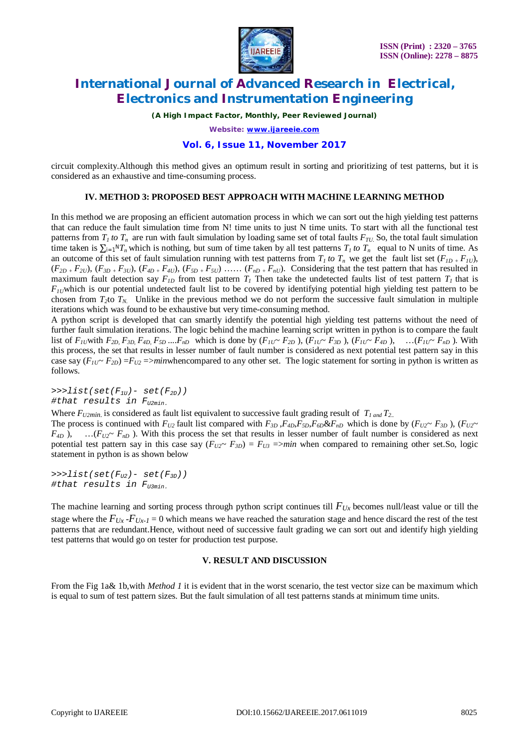

*(A High Impact Factor, Monthly, Peer Reviewed Journal)*

*Website: [www.ijareeie.com](http://www.ijareeie.com)*

#### **Vol. 6, Issue 11, November 2017**

circuit complexity.Although this method gives an optimum result in sorting and prioritizing of test patterns, but it is considered as an exhaustive and time-consuming process.

#### **IV. METHOD 3: PROPOSED BEST APPROACH WITH MACHINE LEARNING METHOD**

In this method we are proposing an efficient automation process in which we can sort out the high yielding test patterns that can reduce the fault simulation time from N! time units to just N time units. To start with all the functional test patterns from  $T_I$  to  $T_n$  are run with fault simulation by loading same set of total faults  $F_{TU}$ . So, the total fault simulation time taken is  $\sum_{i=1}^{n} {T}$ <sup>*n*</sup> $T$ <sub>*n*</sub> which is nothing, but sum of time taken by all test patterns  $T_1$  to  $T_n$  equal to N units of time. As an outcome of this set of fault simulation running with test patterns from  $T_I$  to  $T_n$  we get the fault list set  $(F_{ID} + F_{IU})$ ,  $(F_{2D}$  +  $F_{2U}$ ),  $(F_{3D}$  +  $F_{3U}$ ),  $(F_{4D}$  +  $F_{4U}$ ),  $(F_{5D}$  +  $F_{5U})$  ......  $(F_{nD}$  +  $F_{nU})$ . Considering that the test pattern that has resulted in maximum fault detection say  $F_{ID}$  from test pattern  $T_I$  Then take the undetected faults list of test pattern  $T_I$  that is  $F_{11}$ which is our potential undetected fault list to be covered by identifying potential high yielding test pattern to be chosen from  $T_2$ to  $T_N$ . Unlike in the previous method we do not perform the successive fault simulation in multiple iterations which was found to be exhaustive but very time-consuming method.

A python script is developed that can smartly identify the potential high yielding test patterns without the need of further fault simulation iterations. The logic behind the machine learning script written in python is to compare the fault list of  $F_{IU}$  with  $F_{2D}$ ,  $F_{3D}$ ,  $F_{4D}$ ,  $F_{5D}$  ....  $F_{nD}$  which is done by  $(F_{IU} \sim F_{2D})$ ,  $(F_{IU} \sim F_{3D})$ ,  $(F_{IU} \sim F_{4D})$ , ...  $(F_{IU} \sim F_{nD})$ . With this process, the set that results in lesser number of fault number is considered as next potential test pattern say in this case say  $(F_{1U} \sim F_{2D}) = F_{U2} = \frac{\text{min}}{\text{min}}$  to any other set. The logic statement for sorting in python is written as follows.

*>>>list(set(F1U)- set(F2D)) #that results in FU2min.*

Where *FU2min.* is considered as fault list equivalent to successive fault grading result of *T1 and T2..*

The process is continued with  $F_{U2}$  fault list compared with  $F_{3D}$ ,  $F_{4D}$ ,  $F_{5D}$ ,  $F_{6D}$ & $F_{nD}$  which is done by  $(F_{U2} \sim F_{3D})$ ,  $(F_{U2} \sim F_{3D})$  $F_{4D}$ ), … $(F_{U2} \sim F_{nD})$ . With this process the set that results in lesser number of fault number is considered as next potential test pattern say in this case say  $(F_{U2} \sim F_{3D}) = F_{U3} = 2m \cdot m$  when compared to remaining other set.So, logic statement in python is as shown below

*>>>list(set(FU2)- set(F3D)) #that results in FU3min.*

The machine learning and sorting process through python script continues till  $F_{Ux}$  becomes null/least value or till the stage where the  $F_{Ux}$ - $F_{Ux-1}$  = 0 which means we have reached the saturation stage and hence discard the rest of the test patterns that are redundant.Hence, without need of successive fault grading we can sort out and identify high yielding test patterns that would go on tester for production test purpose.

#### **V. RESULT AND DISCUSSION**

From the Fig 1a& 1b,with *Method 1* it is evident that in the worst scenario, the test vector size can be maximum which is equal to sum of test pattern sizes. But the fault simulation of all test patterns stands at minimum time units.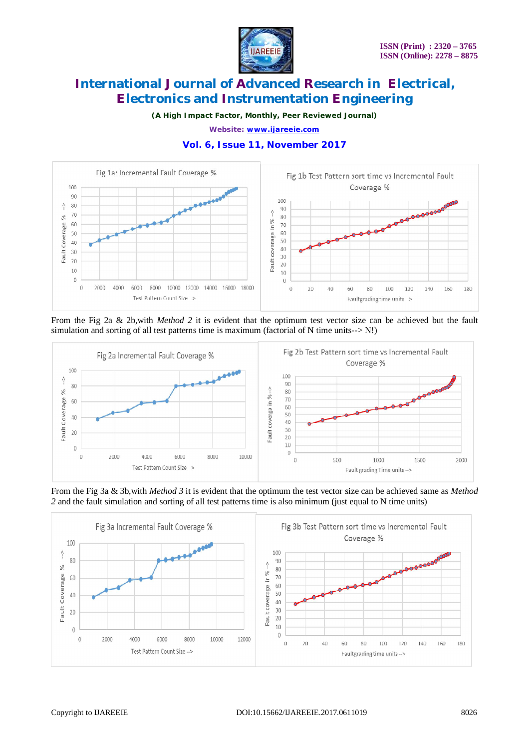

*(A High Impact Factor, Monthly, Peer Reviewed Journal)*

*Website: [www.ijareeie.com](http://www.ijareeie.com)*



### **Vol. 6, Issue 11, November 2017**

From the Fig 2a & 2b,with *Method 2* it is evident that the optimum test vector size can be achieved but the fault simulation and sorting of all test patterns time is maximum (factorial of N time units- $>$  N!)



From the Fig 3a & 3b,with *Method 3* it is evident that the optimum the test vector size can be achieved same as *Method 2* and the fault simulation and sorting of all test patterns time is also minimum (just equal to N time units)